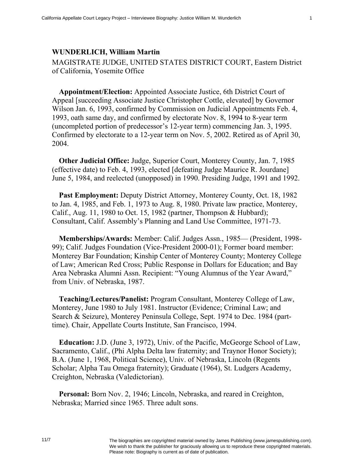## **WUNDERLICH, William Martin**

MAGISTRATE JUDGE, UNITED STATES DISTRICT COURT, Eastern District of California, Yosemite Office

**Appointment/Election:** Appointed Associate Justice, 6th District Court of Appeal [succeeding Associate Justice Christopher Cottle, elevated] by Governor Wilson Jan. 6, 1993, confirmed by Commission on Judicial Appointments Feb. 4, 1993, oath same day, and confirmed by electorate Nov. 8, 1994 to 8-year term (uncompleted portion of predecessor's 12-year term) commencing Jan. 3, 1995. Confirmed by electorate to a 12-year term on Nov. 5, 2002. Retired as of April 30, 2004.

**Other Judicial Office:** Judge, Superior Court, Monterey County, Jan. 7, 1985 (effective date) to Feb. 4, 1993, elected [defeating Judge Maurice R. Jourdane] June 5, 1984, and reelected (unopposed) in 1990. Presiding Judge, 1991 and 1992.

**Past Employment:** Deputy District Attorney, Monterey County, Oct. 18, 1982 to Jan. 4, 1985, and Feb. 1, 1973 to Aug. 8, 1980. Private law practice, Monterey, Calif., Aug. 11, 1980 to Oct. 15, 1982 (partner, Thompson & Hubbard); Consultant, Calif. Assembly's Planning and Land Use Committee, 1971-73.

**Memberships/Awards:** Member: Calif. Judges Assn., 1985— (President, 1998- 99); Calif. Judges Foundation (Vice-President 2000-01); Former board member: Monterey Bar Foundation; Kinship Center of Monterey County; Monterey College of Law; American Red Cross; Public Response in Dollars for Education; and Bay Area Nebraska Alumni Assn. Recipient: "Young Alumnus of the Year Award," from Univ. of Nebraska, 1987.

**Teaching/Lectures/Panelist:** Program Consultant, Monterey College of Law, Monterey, June 1980 to July 1981. Instructor (Evidence; Criminal Law; and Search & Seizure), Monterey Peninsula College, Sept. 1974 to Dec. 1984 (parttime). Chair, Appellate Courts Institute, San Francisco, 1994.

**Education:** J.D. (June 3, 1972), Univ. of the Pacific, McGeorge School of Law, Sacramento, Calif., (Phi Alpha Delta law fraternity; and Traynor Honor Society); B.A. (June 1, 1968, Political Science), Univ. of Nebraska, Lincoln (Regents Scholar; Alpha Tau Omega fraternity); Graduate (1964), St. Ludgers Academy, Creighton, Nebraska (Valedictorian).

**Personal:** Born Nov. 2, 1946; Lincoln, Nebraska, and reared in Creighton, Nebraska; Married since 1965. Three adult sons.